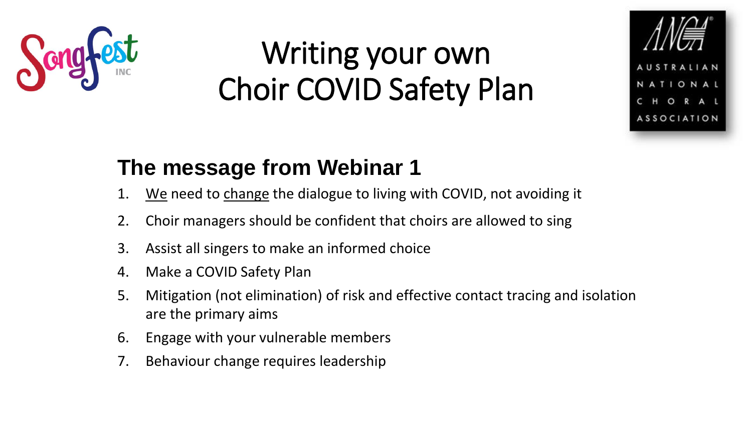

## Writing your own Choir COVID Safety Plan



### **The message from Webinar 1**

- 1. We need to change the dialogue to living with COVID, not avoiding it
- 2. Choir managers should be confident that choirs are allowed to sing
- 3. Assist all singers to make an informed choice
- 4. Make a COVID Safety Plan
- 5. Mitigation (not elimination) of risk and effective contact tracing and isolation are the primary aims
- 6. Engage with your vulnerable members
- 7. Behaviour change requires leadership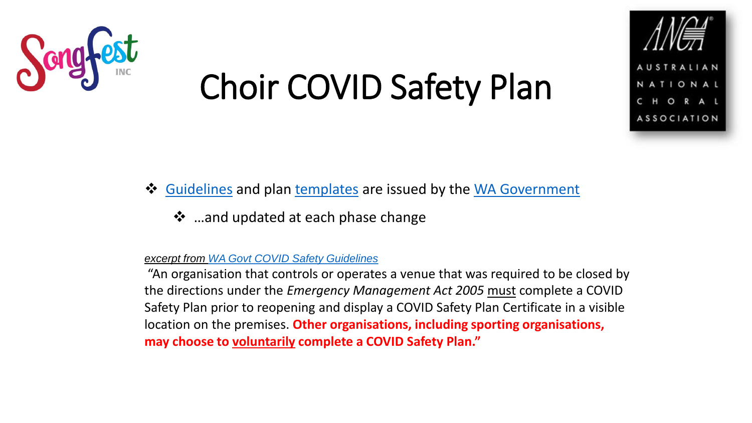



### ❖ [Guidelines](http://www.wa.gov.au/sites/default/files/2020-06/COVID-Safety-Guidelines-Phase-4-Sport-and-Recreation_0.pdf) and plan [templates](http://www.wa.gov.au/sites/default/files/2020-06/COVID-19-Safety-Plan-Phase-4-Sport-and-Recreation_0.pdf) are issued by the [WA Government](https://www.wa.gov.au/organisation/department-of-the-premier-and-cabinet/covid-19-coronavirus-business-and-industry-advice)

❖ …and updated at each phase change

#### *excerpt from [WA Govt COVID Safety Guidelines](https://www.wa.gov.au/sites/default/files/2020-06/COVID-Safety-Guidelines-Phase-4-Sport-and-Recreation_0.pdf)*

"An organisation that controls or operates a venue that was required to be closed by the directions under the *Emergency Management Act 2005* must complete a COVID Safety Plan prior to reopening and display a COVID Safety Plan Certificate in a visible location on the premises. **Other organisations, including sporting organisations, may choose to voluntarily complete a COVID Safety Plan."**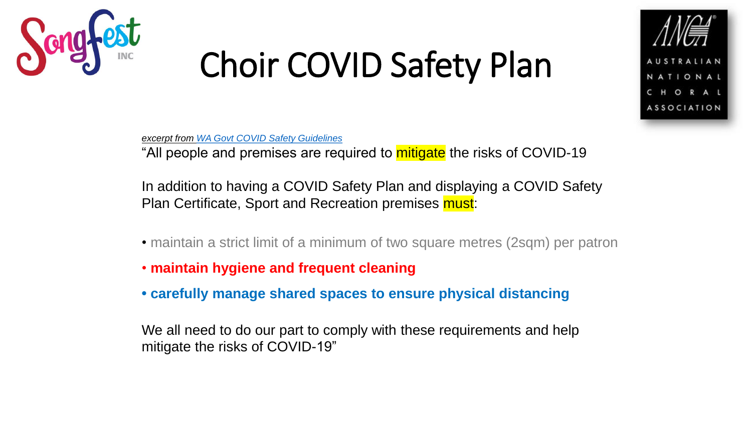



*excerpt from [WA Govt COVID Safety Guidelines](https://www.wa.gov.au/sites/default/files/2020-06/COVID-Safety-Guidelines-Phase-4-Sport-and-Recreation_0.pdf)*

"All people and premises are required to mitigate the risks of COVID-19

In addition to having a COVID Safety Plan and displaying a COVID Safety Plan Certificate, Sport and Recreation premises must:

- maintain a strict limit of a minimum of two square metres (2sqm) per patron
- **maintain hygiene and frequent cleaning**
- **• carefully manage shared spaces to ensure physical distancing**

We all need to do our part to comply with these requirements and help mitigate the risks of COVID-19"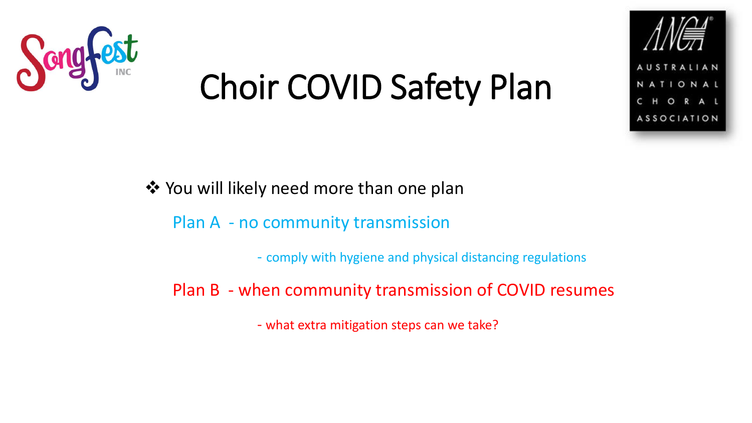



❖ You will likely need more than one plan

Plan A - no community transmission

- comply with hygiene and physical distancing regulations

Plan B - when community transmission of COVID resumes

- what extra mitigation steps can we take?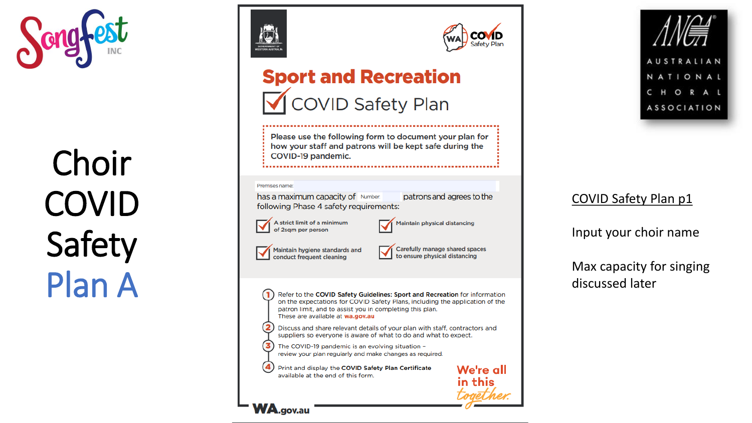





### **Sport and Recreation** ◯ COVID Safety Plan

Please use the following form to document your plan for how your staff and patrons will be kept safe during the COVID-19 pandemic.

#### Premises name:

 $\mathbf{2}$ 

3

**WA.gov.au** 

has a maximum capacity of Number: following Phase 4 safety requirements:

patrons and agrees to the

We're all

in this



**Maintain physical distancing** 

Maintain hygiene standards and conduct frequent cleaning

Carefully manage shared spaces to ensure physical distancing

Refer to the COVID Safety Guidelines: Sport and Recreation for information on the expectations for COVID Safety Plans, including the application of the patron limit, and to assist you in completing this plan. These are available at wa.gov.au

Discuss and share relevant details of your plan with staff, contractors and suppliers so everyone is aware of what to do and what to expect.

The COVID-19 pandemic is an evolving situation review your plan regularly and make changes as required.

 $\left( 4 \right)$ Print and display the COVID Safety Plan Certificate available at the end of this form.





### COVID Safety Plan p1

Input your choir name

Max capacity for singing discussed later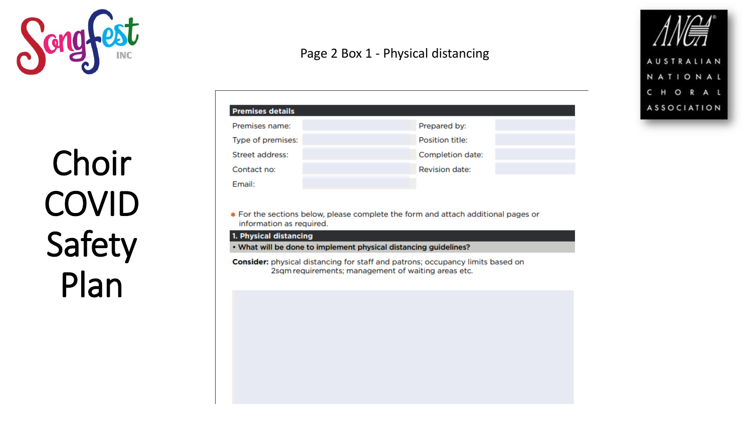

### Page 2 Box 1 - Physical distancing

AUSTRALIAN

NATIONAL CHORAL

**ASSOCIATION** 

| <b>Premises details</b><br>Premises name: |                  |
|-------------------------------------------|------------------|
|                                           | Prepared by:     |
| Type of premises:                         | Position title:  |
| Street address:                           | Completion date: |
| Contact no:                               | Revision date:   |
| Fmail:                                    |                  |

\* For the sections below, please complete the form and attach additional pages or information as required.

#### 1. Physical distancing

• What will be done to implement physical distancing guidelines?

Consider: physical distancing for staff and patrons; occupancy limits based on 2sqm requirements; management of waiting areas etc.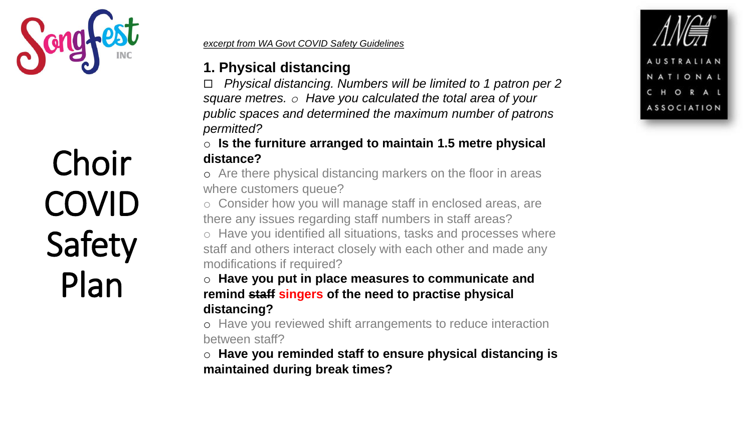

#### *excerpt from WA Govt COVID Safety Guidelines*

### **1. Physical distancing**

 *Physical distancing. Numbers will be limited to 1 patron per 2 square metres. o Have you calculated the total area of your public spaces and determined the maximum number of patrons permitted?* 

### o **Is the furniture arranged to maintain 1.5 metre physical distance?**

o Are there physical distancing markers on the floor in areas where customers queue?

o Consider how you will manage staff in enclosed areas, are there any issues regarding staff numbers in staff areas?

o Have you identified all situations, tasks and processes where staff and others interact closely with each other and made any modifications if required?

### o **Have you put in place measures to communicate and remind staff singers of the need to practise physical distancing?**

o Have you reviewed shift arrangements to reduce interaction between staff?

o **Have you reminded staff to ensure physical distancing is maintained during break times?**

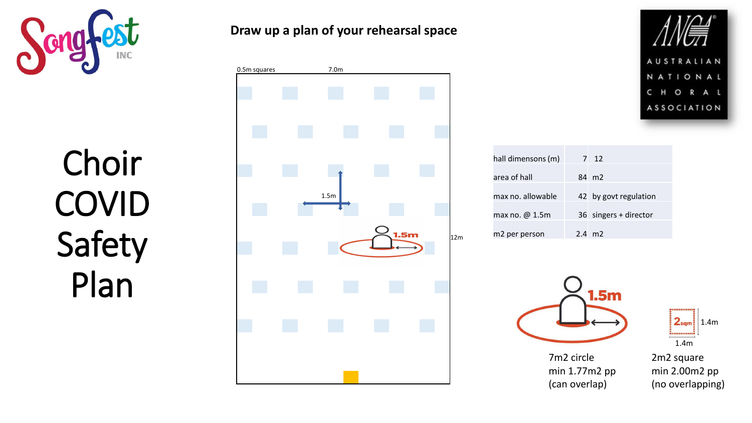

**Draw up a plan of your rehearsal space**







| hall dimensons (m)    | 7 12                  |
|-----------------------|-----------------------|
| area of hall          | 84 m2                 |
| max no. allowable     | 42 by govt regulation |
| max no. $\omega$ 1.5m | 36 singers + director |
| m2 per person         | $2.4 \, \text{m2}$    |

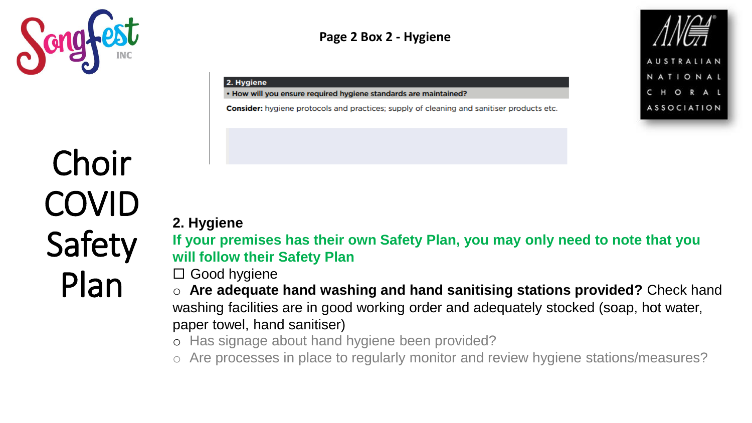

### **Page 2 Box 2 - Hygiene**

#### 2. Hygiene

• How will you ensure required hygiene standards are maintained?

**Consider:** hygiene protocols and practices; supply of cleaning and sanitiser products etc.

### **2. Hygiene**

**If your premises has their own Safety Plan, you may only need to note that you will follow their Safety Plan**

AUSTRALIAN NATIONAL

CHORAL

**ASSOCIATION** 

□ Good hygiene

o **Are adequate hand washing and hand sanitising stations provided?** Check hand washing facilities are in good working order and adequately stocked (soap, hot water, paper towel, hand sanitiser)

o Has signage about hand hygiene been provided?

o Are processes in place to regularly monitor and review hygiene stations/measures?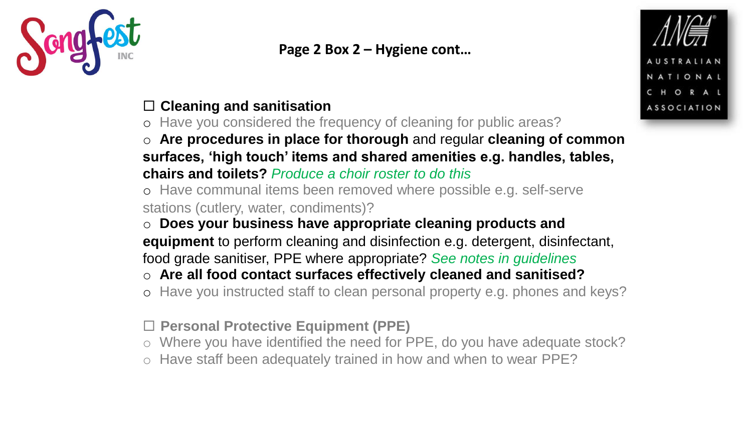

### **Page 2 Box 2 – Hygiene cont…**

### **Cleaning and sanitisation**

o Have you considered the frequency of cleaning for public areas?

o **Are procedures in place for thorough** and regular **cleaning of common surfaces, 'high touch' items and shared amenities e.g. handles, tables, chairs and toilets?** *Produce a choir roster to do this*

o Have communal items been removed where possible e.g. self-serve stations (cutlery, water, condiments)?

o **Does your business have appropriate cleaning products and** 

**equipment** to perform cleaning and disinfection e.g. detergent, disinfectant, food grade sanitiser, PPE where appropriate? *See notes in guidelines*

### o **Are all food contact surfaces effectively cleaned and sanitised?**

o Have you instructed staff to clean personal property e.g. phones and keys?

**Personal Protective Equipment (PPE)** 

- o Where you have identified the need for PPE, do you have adequate stock?
- o Have staff been adequately trained in how and when to wear PPE?

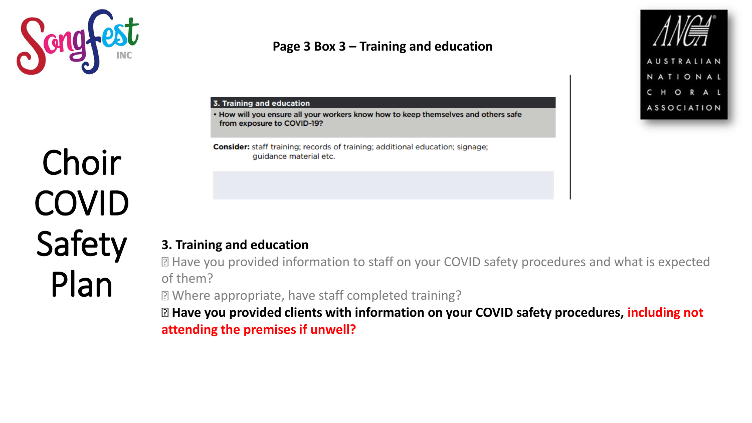

### **Page 3 Box 3 – Training and education**



#### 3. Training and education

. How will you ensure all your workers know how to keep themselves and others safe from exposure to COVID-19?

**Consider:** staff training; records of training; additional education; signage; guidance material etc.

## Choir COVID Safety Plan

### **3. Training and education**

Have you provided information to staff on your COVID safety procedures and what is expected of them?

Where appropriate, have staff completed training?

**Have you provided clients with information on your COVID safety procedures, including not attending the premises if unwell?**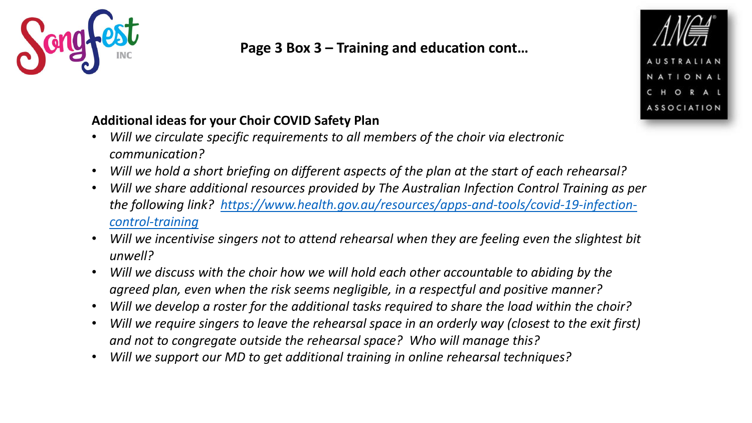

### **Page 3 Box 3 – Training and education cont…**



### **Additional ideas for your Choir COVID Safety Plan**

- *Will we circulate specific requirements to all members of the choir via electronic communication?*
- *Will we hold a short briefing on different aspects of the plan at the start of each rehearsal?*
- *Will we share additional resources provided by The Australian Infection Control Training as per [the following link? https://www.health.gov.au/resources/apps-and-tools/covid-19-infection](https://www.health.gov.au/resources/apps-and-tools/covid-19-infection-control-training)control-training*
- *Will we incentivise singers not to attend rehearsal when they are feeling even the slightest bit unwell?*
- *Will we discuss with the choir how we will hold each other accountable to abiding by the agreed plan, even when the risk seems negligible, in a respectful and positive manner?*
- *Will we develop a roster for the additional tasks required to share the load within the choir?*
- *Will we require singers to leave the rehearsal space in an orderly way (closest to the exit first) and not to congregate outside the rehearsal space? Who will manage this?*
- *Will we support our MD to get additional training in online rehearsal techniques?*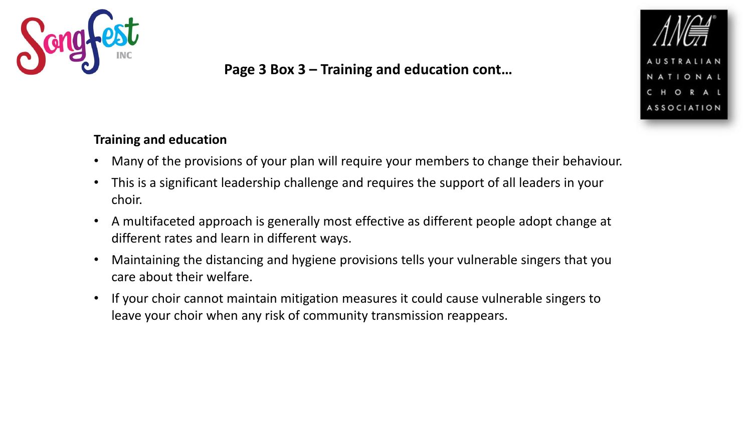

### **Page 3 Box 3 – Training and education cont…**



### **Training and education**

- Many of the provisions of your plan will require your members to change their behaviour.
- This is a significant leadership challenge and requires the support of all leaders in your choir.
- A multifaceted approach is generally most effective as different people adopt change at different rates and learn in different ways.
- Maintaining the distancing and hygiene provisions tells your vulnerable singers that you care about their welfare.
- If your choir cannot maintain mitigation measures it could cause vulnerable singers to leave your choir when any risk of community transmission reappears.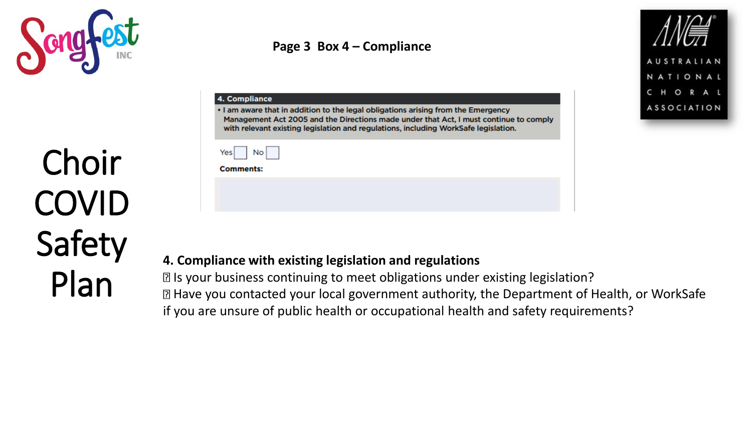

### **Page 3 Box 4 – Compliance**

| Yes<br>No.<br><b>Comments:</b> | 4. Compliance<br>. I am aware that in addition to the legal obligations arising from the Emergency<br>Management Act 2005 and the Directions made under that Act, I must continue to comply<br>with relevant existing legislation and regulations, including WorkSafe legislation. |  |
|--------------------------------|------------------------------------------------------------------------------------------------------------------------------------------------------------------------------------------------------------------------------------------------------------------------------------|--|
|                                |                                                                                                                                                                                                                                                                                    |  |
|                                |                                                                                                                                                                                                                                                                                    |  |
|                                |                                                                                                                                                                                                                                                                                    |  |

#### **4. Compliance with existing legislation and regulations**

Is your business continuing to meet obligations under existing legislation? Have you contacted your local government authority, the Department of Health, or WorkSafe if you are unsure of public health or occupational health and safety requirements?

**AUSTRALI** 

NATIONAL CHORAL **ASSOCIATION**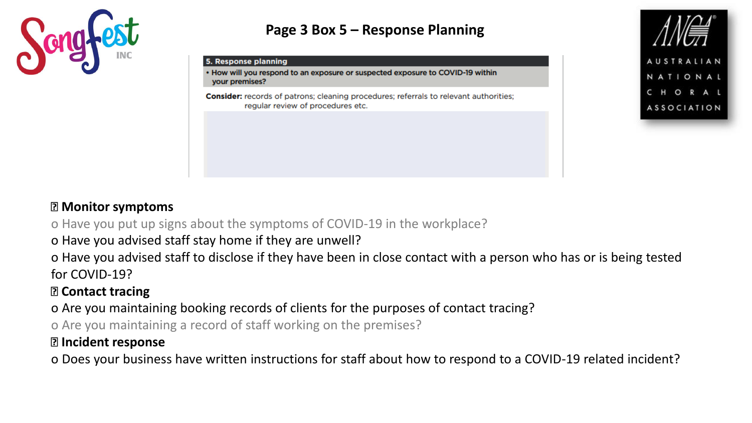

### **Page 3 Box 5 – Response Planning**

#### 5. Response planning

• How will you respond to an exposure or suspected exposure to COVID-19 within your premises?

**Consider:** records of patrons; cleaning procedures; referrals to relevant authorities; regular review of procedures etc.



### **Monitor symptoms**

o Have you put up signs about the symptoms of COVID-19 in the workplace?

o Have you advised staff stay home if they are unwell?

o Have you advised staff to disclose if they have been in close contact with a person who has or is being tested for COVID-19?

### **Contact tracing**

o Are you maintaining booking records of clients for the purposes of contact tracing?

o Are you maintaining a record of staff working on the premises?

### **Incident response**

o Does your business have written instructions for staff about how to respond to a COVID-19 related incident?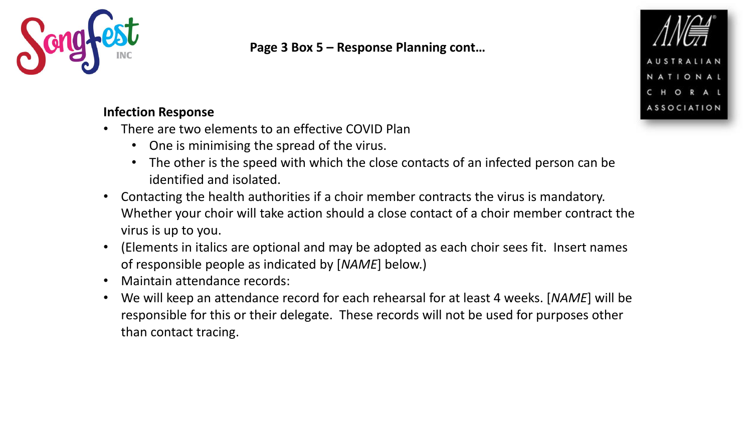

**Page 3 Box 5 – Response Planning cont…**



- There are two elements to an effective COVID Plan
	- One is minimising the spread of the virus.
	- The other is the speed with which the close contacts of an infected person can be identified and isolated.
- Contacting the health authorities if a choir member contracts the virus is mandatory. Whether your choir will take action should a close contact of a choir member contract the virus is up to you.
- (Elements in italics are optional and may be adopted as each choir sees fit. Insert names of responsible people as indicated by [*NAME*] below.)
- Maintain attendance records:
- We will keep an attendance record for each rehearsal for at least 4 weeks. [*NAME*] will be responsible for this or their delegate. These records will not be used for purposes other than contact tracing.

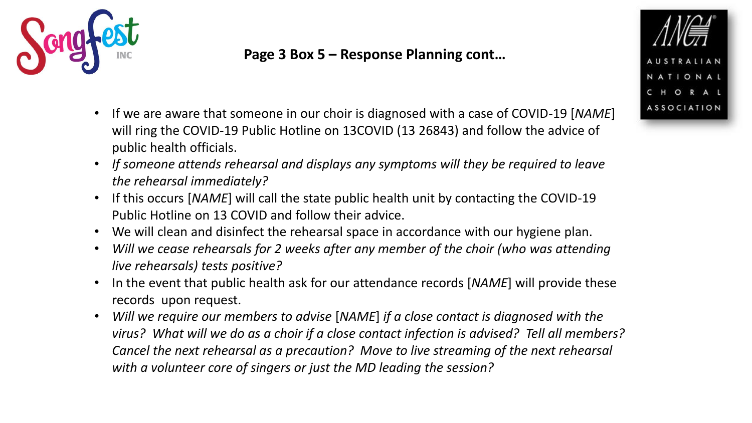

### **Page 3 Box 5 – Response Planning cont…**

- If we are aware that someone in our choir is diagnosed with a case of COVID-19 [*NAME*] will ring the COVID-19 Public Hotline on 13COVID (13 26843) and follow the advice of public health officials.
- *If someone attends rehearsal and displays any symptoms will they be required to leave the rehearsal immediately?*
- If this occurs [*NAME*] will call the state public health unit by contacting the COVID-19 Public Hotline on 13 COVID and follow their advice.
- We will clean and disinfect the rehearsal space in accordance with our hygiene plan.
- *Will we cease rehearsals for 2 weeks after any member of the choir (who was attending live rehearsals) tests positive?*
- In the event that public health ask for our attendance records [*NAME*] will provide these records upon request.
- *Will we require our members to advise* [*NAME*] *if a close contact is diagnosed with the virus? What will we do as a choir if a close contact infection is advised? Tell all members? Cancel the next rehearsal as a precaution? Move to live streaming of the next rehearsal with a volunteer core of singers or just the MD leading the session?*

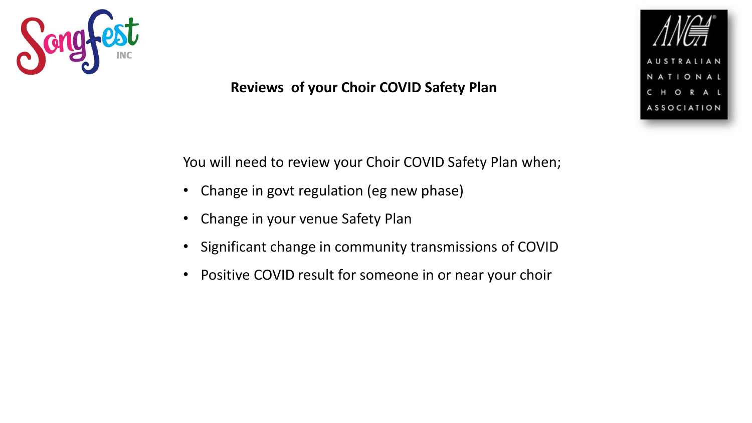

### **Reviews of your Choir COVID Safety Plan**

You will need to review your Choir COVID Safety Plan when;

- Change in govt regulation (eg new phase)
- Change in your venue Safety Plan
- Significant change in community transmissions of COVID
- Positive COVID result for someone in or near your choir

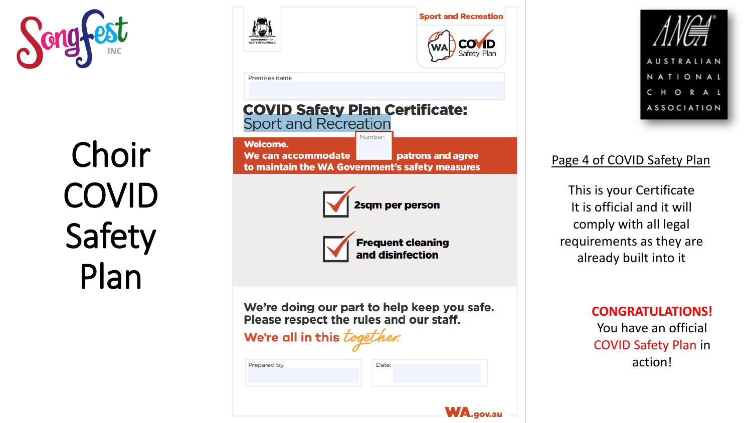





### Page 4 of COVID Safety Plan

This is your Certificate It is official and it will comply with all legal requirements as they are already built into it

> **CONGRATULATIONS!** You have an official COVID Safety Plan in action!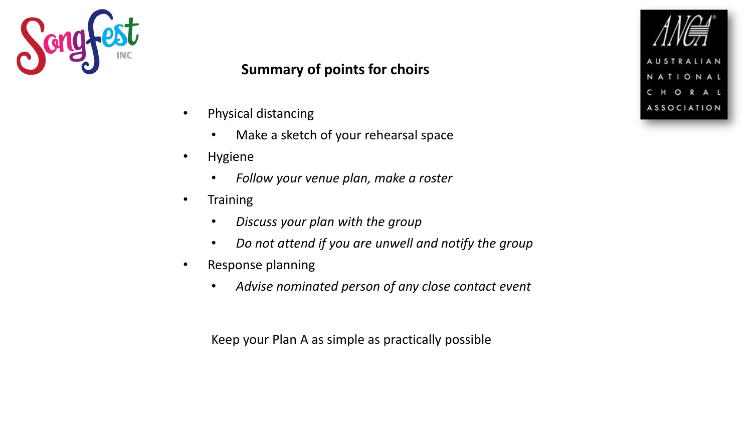

### **Summary of points for choirs**

- Physical distancing
	- Make a sketch of your rehearsal space
- Hygiene
	- *Follow your venue plan, make a roster*
- Training
	- *Discuss your plan with the group*
	- *Do not attend if you are unwell and notify the group*
- Response planning
	- *Advise nominated person of any close contact event*

Keep your Plan A as simple as practically possible

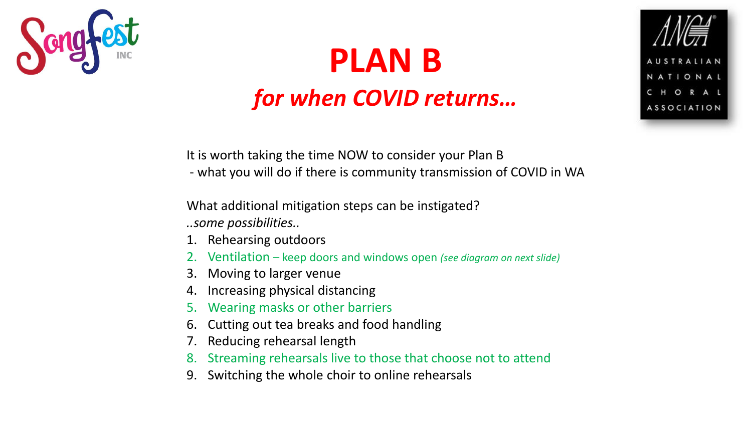

## **PLAN B** *for when COVID returns…*



It is worth taking the time NOW to consider your Plan B

- what you will do if there is community transmission of COVID in WA

What additional mitigation steps can be instigated? *..some possibilities..*

- 1. Rehearsing outdoors
- 2. Ventilation keep doors and windows open *(see diagram on next slide)*
- 3. Moving to larger venue
- 4. Increasing physical distancing
- 5. Wearing masks or other barriers
- 6. Cutting out tea breaks and food handling
- 7. Reducing rehearsal length
- 8. Streaming rehearsals live to those that choose not to attend
- 9. Switching the whole choir to online rehearsals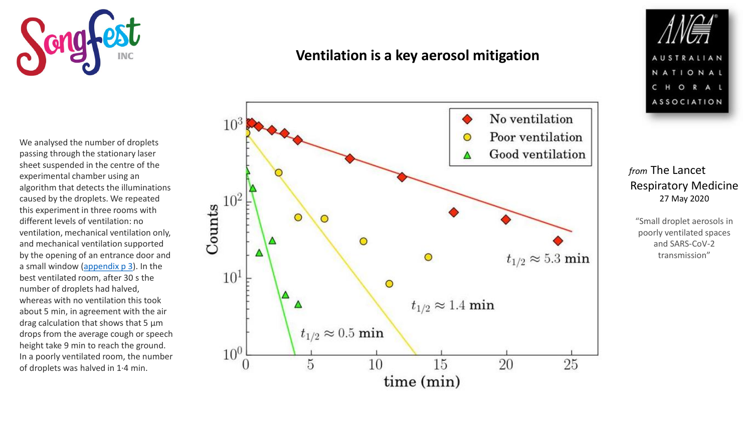

We analysed the number of droplets passing through the stationary laser sheet suspended in the centre of the experimental chamber using an algorithm that detects the illuminations caused by the droplets. We repeated this experiment in three rooms with different levels of ventilation: no ventilation, mechanical ventilation only, and mechanical ventilation supported by the opening of an entrance door and a small window ([appendix p 3\)](https://www.sciencedirect.com/science/article/pii/S2213260020302459#sec1). In the best ventilated room, after 30 s the number of droplets had halved, whereas with no ventilation this took about 5 min, in agreement with the air drag calculation that shows that 5 μm drops from the average cough or speech height take 9 min to reach the ground. In a poorly ventilated room, the number of droplets was halved in 1·4 min.

### **Ventilation is a key aerosol mitigation**





*from* The Lancet Respiratory Medicine 27 May 2020

"Small droplet aerosols in poorly ventilated spaces and SARS-CoV-2 transmission"